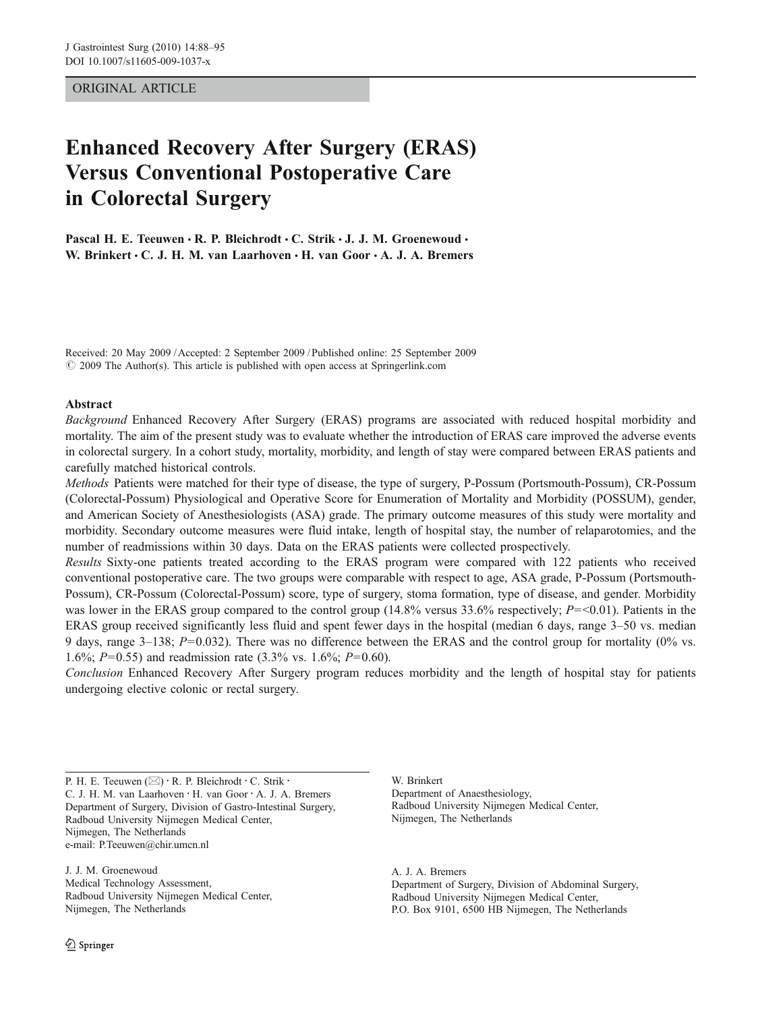## ORIGINAL ARTICLE

# Enhanced Recovery After Surgery (ERAS) Versus Conventional Postoperative Care in Colorectal Surgery

Pascal H. E. Teeuwen · R. P. Bleichrodt · C. Strik · J. J. M. Groenewoud · W. Brinkert . C. J. H. M. van Laarhoven . H. van Goor . A. J. A. Bremers

Received: 20 May 2009 /Accepted: 2 September 2009 / Published online: 25 September 2009  $\degree$  2009 The Author(s). This article is published with open access at Springerlink.com

## Abstract

Background Enhanced Recovery After Surgery (ERAS) programs are associated with reduced hospital morbidity and mortality. The aim of the present study was to evaluate whether the introduction of ERAS care improved the adverse events in colorectal surgery. In a cohort study, mortality, morbidity, and length of stay were compared between ERAS patients and carefully matched historical controls.

Methods Patients were matched for their type of disease, the type of surgery, P-Possum (Portsmouth-Possum), CR-Possum (Colorectal-Possum) Physiological and Operative Score for Enumeration of Mortality and Morbidity (POSSUM), gender, and American Society of Anesthesiologists (ASA) grade. The primary outcome measures of this study were mortality and morbidity. Secondary outcome measures were fluid intake, length of hospital stay, the number of relaparotomies, and the number of readmissions within 30 days. Data on the ERAS patients were collected prospectively.

Results Sixty-one patients treated according to the ERAS program were compared with 122 patients who received conventional postoperative care. The two groups were comparable with respect to age, ASA grade, P-Possum (Portsmouth-Possum), CR-Possum (Colorectal-Possum) score, type of surgery, stoma formation, type of disease, and gender. Morbidity was lower in the ERAS group compared to the control group (14.8% versus 33.6% respectively;  $P = 0.01$ ). Patients in the ERAS group received significantly less fluid and spent fewer days in the hospital (median 6 days, range 3–50 vs. median 9 days, range 3–138;  $P=0.032$ ). There was no difference between the ERAS and the control group for mortality (0% vs. 1.6%;  $P=0.55$ ) and readmission rate (3.3% vs. 1.6%;  $P=0.60$ ).

Conclusion Enhanced Recovery After Surgery program reduces morbidity and the length of hospital stay for patients undergoing elective colonic or rectal surgery.

P. H. E. Teeuwen (⊠) · R. P. Bleichrodt · C. Strik · C. J. H. M. van Laarhoven : H. van Goor : A. J. A. Bremers Department of Surgery, Division of Gastro-Intestinal Surgery, Radboud University Nijmegen Medical Center, Nijmegen, The Netherlands e-mail: P.Teeuwen@chir.umcn.nl

J. J. M. Groenewoud Medical Technology Assessment, Radboud University Nijmegen Medical Center, Nijmegen, The Netherlands

W. Brinkert Department of Anaesthesiology, Radboud University Nijmegen Medical Center, Nijmegen, The Netherlands

A. J. A. Bremers Department of Surgery, Division of Abdominal Surgery, Radboud University Nijmegen Medical Center, P.O. Box 9101, 6500 HB Nijmegen, The Netherlands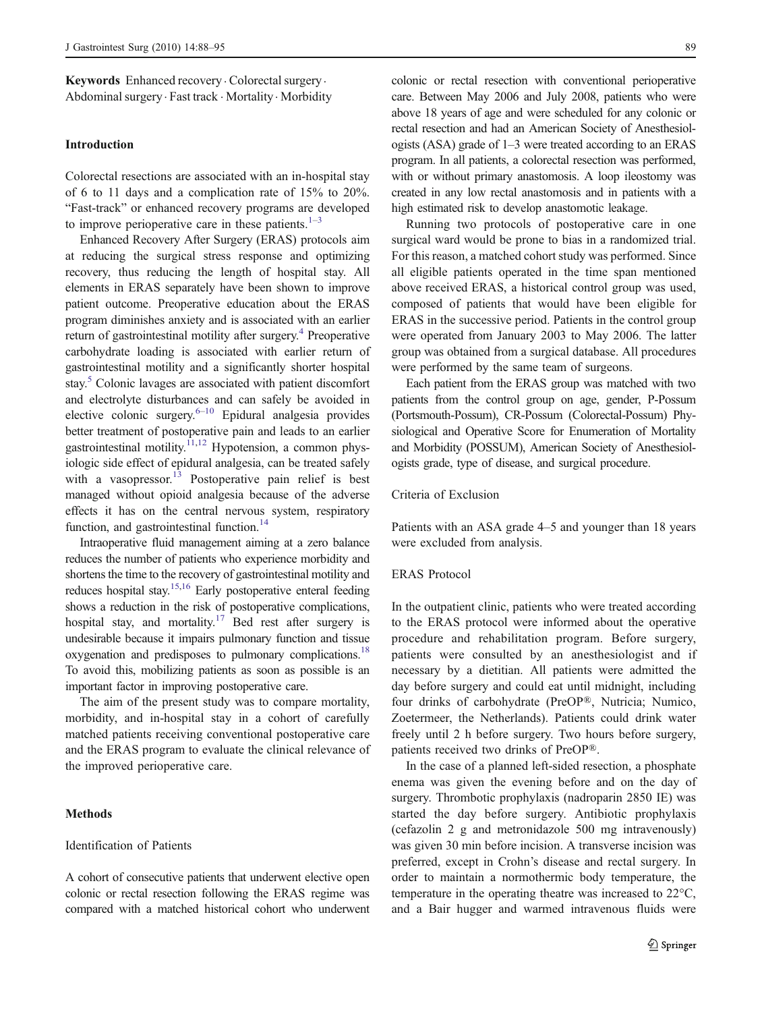Keywords Enhanced recovery . Colorectal surgery. Abdominal surgery. Fast track . Mortality . Morbidity

## Introduction

Colorectal resections are associated with an in-hospital stay of 6 to 11 days and a complication rate of 15% to 20%. "Fast-track" or enhanced recovery programs are developed to improve perioperative care in these patients. $1-3$  $1-3$  $1-3$ 

Enhanced Recovery After Surgery (ERAS) protocols aim at reducing the surgical stress response and optimizing recovery, thus reducing the length of hospital stay. All elements in ERAS separately have been shown to improve patient outcome. Preoperative education about the ERAS program diminishes anxiety and is associated with an earlier return of gastrointestinal motility after surgery.<sup>[4](#page-7-0)</sup> Preoperative carbohydrate loading is associated with earlier return of gastrointestinal motility and a significantly shorter hospital stay.<sup>5</sup> Colonic lavages are associated with patient discomfort and electrolyte disturbances and can safely be avoided in elective colonic surgery. $6-10$  $6-10$  $6-10$  Epidural analgesia provides better treatment of postoperative pain and leads to an earlier gastrointestinal motility.<sup>[11,12](#page-7-0)</sup> Hypotension, a common physiologic side effect of epidural analgesia, can be treated safely with a vasopressor.<sup>[13](#page-7-0)</sup> Postoperative pain relief is best managed without opioid analgesia because of the adverse effects it has on the central nervous system, respiratory function, and gastrointestinal function.<sup>[14](#page-7-0)</sup>

Intraoperative fluid management aiming at a zero balance reduces the number of patients who experience morbidity and shortens the time to the recovery of gastrointestinal motility and reduces hospital stay.<sup>15,16</sup> Early postoperative enteral feeding shows a reduction in the risk of postoperative complications, hospital stay, and mortality.<sup>17</sup> Bed rest after surgery is undesirable because it impairs pulmonary function and tissue oxygenation and predisposes to pulmonary complications.<sup>18</sup> To avoid this, mobilizing patients as soon as possible is an important factor in improving postoperative care.

The aim of the present study was to compare mortality, morbidity, and in-hospital stay in a cohort of carefully matched patients receiving conventional postoperative care and the ERAS program to evaluate the clinical relevance of the improved perioperative care.

## Methods

#### Identification of Patients

A cohort of consecutive patients that underwent elective open colonic or rectal resection following the ERAS regime was compared with a matched historical cohort who underwent colonic or rectal resection with conventional perioperative care. Between May 2006 and July 2008, patients who were above 18 years of age and were scheduled for any colonic or rectal resection and had an American Society of Anesthesiologists (ASA) grade of 1–3 were treated according to an ERAS program. In all patients, a colorectal resection was performed, with or without primary anastomosis. A loop ileostomy was created in any low rectal anastomosis and in patients with a high estimated risk to develop anastomotic leakage.

Running two protocols of postoperative care in one surgical ward would be prone to bias in a randomized trial. For this reason, a matched cohort study was performed. Since all eligible patients operated in the time span mentioned above received ERAS, a historical control group was used, composed of patients that would have been eligible for ERAS in the successive period. Patients in the control group were operated from January 2003 to May 2006. The latter group was obtained from a surgical database. All procedures were performed by the same team of surgeons.

Each patient from the ERAS group was matched with two patients from the control group on age, gender, P-Possum (Portsmouth-Possum), CR-Possum (Colorectal-Possum) Physiological and Operative Score for Enumeration of Mortality and Morbidity (POSSUM), American Society of Anesthesiologists grade, type of disease, and surgical procedure.

#### Criteria of Exclusion

Patients with an ASA grade 4–5 and younger than 18 years were excluded from analysis.

## ERAS Protocol

In the outpatient clinic, patients who were treated according to the ERAS protocol were informed about the operative procedure and rehabilitation program. Before surgery, patients were consulted by an anesthesiologist and if necessary by a dietitian. All patients were admitted the day before surgery and could eat until midnight, including four drinks of carbohydrate (PreOP®, Nutricia; Numico, Zoetermeer, the Netherlands). Patients could drink water freely until 2 h before surgery. Two hours before surgery, patients received two drinks of PreOP®.

In the case of a planned left-sided resection, a phosphate enema was given the evening before and on the day of surgery. Thrombotic prophylaxis (nadroparin 2850 IE) was started the day before surgery. Antibiotic prophylaxis (cefazolin 2 g and metronidazole 500 mg intravenously) was given 30 min before incision. A transverse incision was preferred, except in Crohn's disease and rectal surgery. In order to maintain a normothermic body temperature, the temperature in the operating theatre was increased to 22°C, and a Bair hugger and warmed intravenous fluids were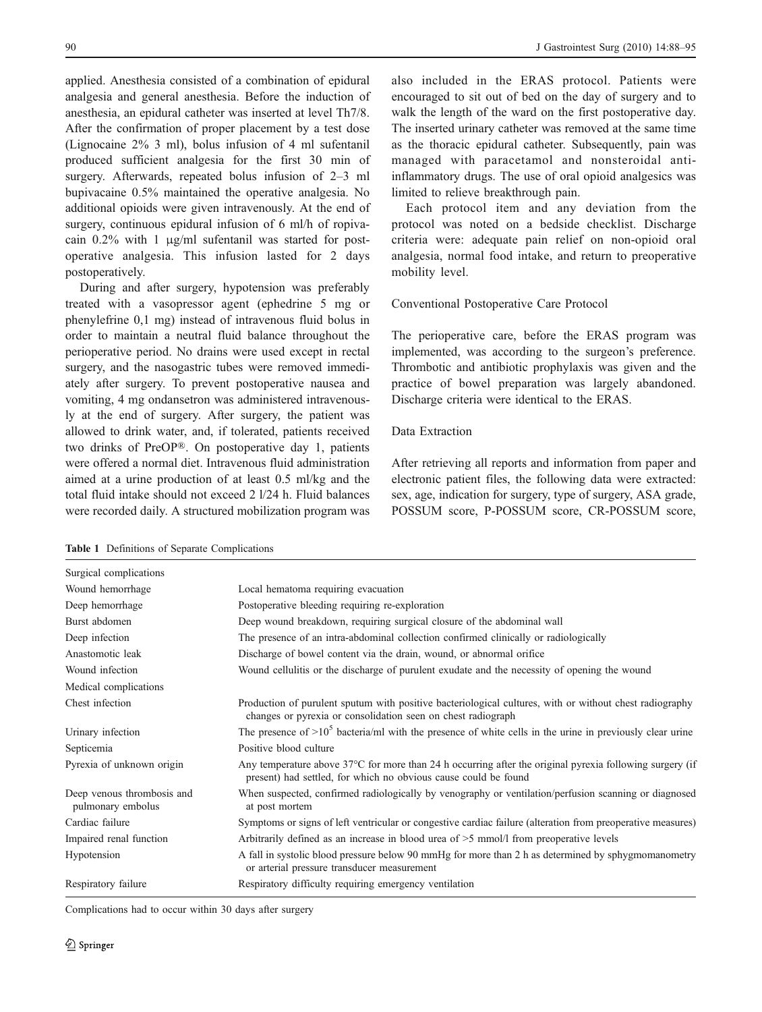<span id="page-2-0"></span>applied. Anesthesia consisted of a combination of epidural analgesia and general anesthesia. Before the induction of anesthesia, an epidural catheter was inserted at level Th7/8. After the confirmation of proper placement by a test dose (Lignocaine 2% 3 ml), bolus infusion of 4 ml sufentanil produced sufficient analgesia for the first 30 min of surgery. Afterwards, repeated bolus infusion of 2–3 ml bupivacaine 0.5% maintained the operative analgesia. No additional opioids were given intravenously. At the end of surgery, continuous epidural infusion of 6 ml/h of ropivacain 0.2% with 1 μg/ml sufentanil was started for postoperative analgesia. This infusion lasted for 2 days postoperatively.

During and after surgery, hypotension was preferably treated with a vasopressor agent (ephedrine 5 mg or phenylefrine 0,1 mg) instead of intravenous fluid bolus in order to maintain a neutral fluid balance throughout the perioperative period. No drains were used except in rectal surgery, and the nasogastric tubes were removed immediately after surgery. To prevent postoperative nausea and vomiting, 4 mg ondansetron was administered intravenously at the end of surgery. After surgery, the patient was allowed to drink water, and, if tolerated, patients received two drinks of PreOP®. On postoperative day 1, patients were offered a normal diet. Intravenous fluid administration aimed at a urine production of at least 0.5 ml/kg and the total fluid intake should not exceed 2 l/24 h. Fluid balances were recorded daily. A structured mobilization program was also included in the ERAS protocol. Patients were encouraged to sit out of bed on the day of surgery and to walk the length of the ward on the first postoperative day. The inserted urinary catheter was removed at the same time as the thoracic epidural catheter. Subsequently, pain was managed with paracetamol and nonsteroidal antiinflammatory drugs. The use of oral opioid analgesics was limited to relieve breakthrough pain.

Each protocol item and any deviation from the protocol was noted on a bedside checklist. Discharge criteria were: adequate pain relief on non-opioid oral analgesia, normal food intake, and return to preoperative mobility level.

#### Conventional Postoperative Care Protocol

The perioperative care, before the ERAS program was implemented, was according to the surgeon's preference. Thrombotic and antibiotic prophylaxis was given and the practice of bowel preparation was largely abandoned. Discharge criteria were identical to the ERAS.

## Data Extraction

After retrieving all reports and information from paper and electronic patient files, the following data were extracted: sex, age, indication for surgery, type of surgery, ASA grade, POSSUM score, P-POSSUM score, CR-POSSUM score,

Table 1 Definitions of Separate Complications

| Surgical complications                          |                                                                                                                                                                             |
|-------------------------------------------------|-----------------------------------------------------------------------------------------------------------------------------------------------------------------------------|
| Wound hemorrhage                                | Local hematoma requiring evacuation                                                                                                                                         |
| Deep hemorrhage                                 | Postoperative bleeding requiring re-exploration                                                                                                                             |
| Burst abdomen                                   | Deep wound breakdown, requiring surgical closure of the abdominal wall                                                                                                      |
| Deep infection                                  | The presence of an intra-abdominal collection confirmed clinically or radiologically                                                                                        |
| Anastomotic leak                                | Discharge of bowel content via the drain, wound, or abnormal orifice                                                                                                        |
| Wound infection                                 | Wound cellulitis or the discharge of purulent exudate and the necessity of opening the wound                                                                                |
| Medical complications                           |                                                                                                                                                                             |
| Chest infection                                 | Production of purulent sputum with positive bacteriological cultures, with or without chest radiography<br>changes or pyrexia or consolidation seen on chest radiograph     |
| Urinary infection                               | The presence of $>10^5$ bacteria/ml with the presence of white cells in the urine in previously clear urine                                                                 |
| Septicemia                                      | Positive blood culture                                                                                                                                                      |
| Pyrexia of unknown origin                       | Any temperature above 37°C for more than 24 h occurring after the original pyrexia following surgery (if<br>present) had settled, for which no obvious cause could be found |
| Deep venous thrombosis and<br>pulmonary embolus | When suspected, confirmed radiologically by venography or ventilation/perfusion scanning or diagnosed<br>at post mortem                                                     |
| Cardiac failure                                 | Symptoms or signs of left ventricular or congestive cardiac failure (alteration from preoperative measures)                                                                 |
| Impaired renal function                         | Arbitrarily defined as an increase in blood urea of $>5$ mmol/l from preoperative levels                                                                                    |
| Hypotension                                     | A fall in systolic blood pressure below 90 mmHg for more than 2 h as determined by sphygmomanometry<br>or arterial pressure transducer measurement                          |
| Respiratory failure                             | Respiratory difficulty requiring emergency ventilation                                                                                                                      |
|                                                 |                                                                                                                                                                             |

Complications had to occur within 30 days after surgery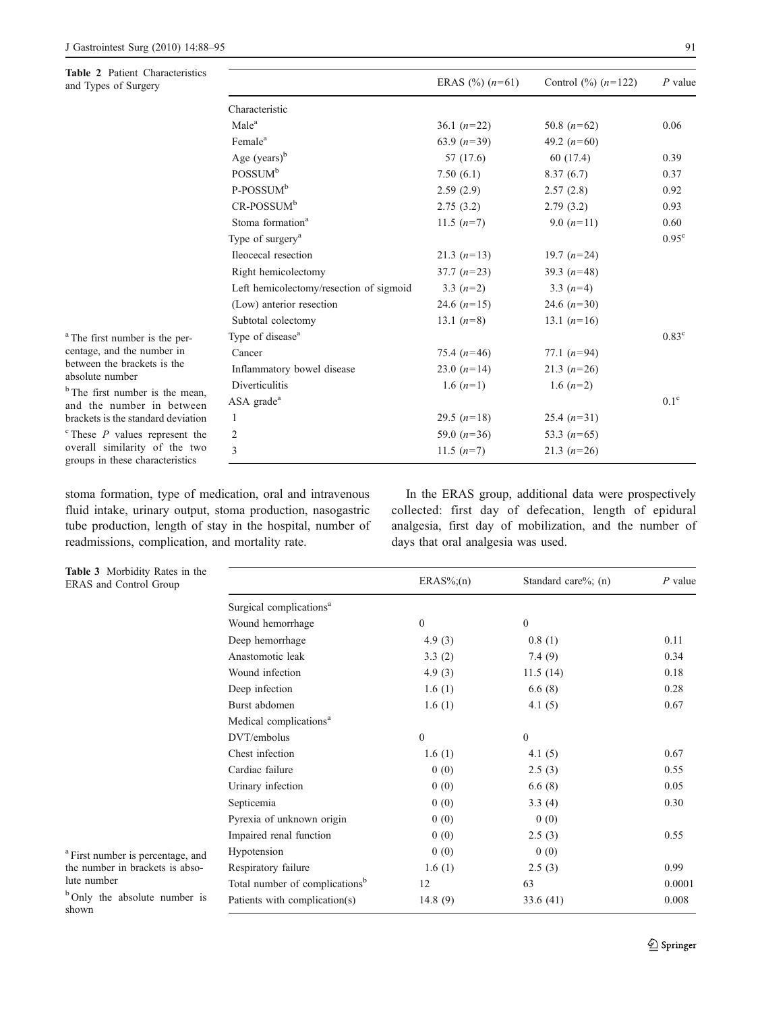<span id="page-3-0"></span>Table 2 Patient Characteristics and Types of Surgery

|                                         | ERAS $(\%)$ $(n=61)$ | Control $\frac{9}{6}$ $(n=122)$ | $P$ value      |
|-----------------------------------------|----------------------|---------------------------------|----------------|
| Characteristic                          |                      |                                 |                |
| Male <sup>a</sup>                       | 36.1 $(n=22)$        | 50.8 $(n=62)$                   | 0.06           |
| Female <sup>a</sup>                     | 63.9 $(n=39)$        | 49.2 $(n=60)$                   |                |
| Age $(years)^{b}$                       | 57 (17.6)            | 60 (17.4)                       | 0.39           |
| POSSUM <sup>b</sup>                     | 7.50(6.1)            | 8.37(6.7)                       | 0.37           |
| P-POSSUM <sup>b</sup>                   | 2.59(2.9)            | 2.57(2.8)                       | 0.92           |
| CR-POSSUM <sup>b</sup>                  | 2.75(3.2)            | 2.79(3.2)                       | 0.93           |
| Stoma formation <sup>a</sup>            | 11.5 $(n=7)$         | 9.0 $(n=11)$                    | 0.60           |
| Type of surgery <sup>a</sup>            |                      |                                 | $0.95^{\circ}$ |
| Ileocecal resection                     | 21.3 $(n=13)$        | 19.7 $(n=24)$                   |                |
| Right hemicolectomy                     | $37.7 (n=23)$        | 39.3 $(n=48)$                   |                |
| Left hemicolectomy/resection of sigmoid | 3.3 $(n=2)$          | 3.3 $(n=4)$                     |                |
| (Low) anterior resection                | 24.6 $(n=15)$        | 24.6 $(n=30)$                   |                |
| Subtotal colectomy                      | 13.1 $(n=8)$         | 13.1 $(n=16)$                   |                |
| Type of disease <sup>a</sup>            |                      |                                 | $0.83^{\circ}$ |
| Cancer                                  | 75.4 $(n=46)$        | 77.1 $(n=94)$                   |                |
| Inflammatory bowel disease              | 23.0 $(n=14)$        | 21.3 $(n=26)$                   |                |
| <b>Diverticulitis</b>                   | 1.6 $(n=1)$          | 1.6 $(n=2)$                     |                |
| $ASA$ grade <sup>a</sup>                |                      |                                 | $0.1^\circ$    |
| 1                                       | 29.5 $(n=18)$        | 25.4 $(n=31)$                   |                |
| 2                                       | 59.0 $(n=36)$        | 53.3 $(n=65)$                   |                |
| 3                                       | 11.5 $(n=7)$         | 21.3 $(n=26)$                   |                |

stoma formation, type of medication, oral and intravenous fluid intake, urinary output, stoma production, nasogastric tube production, length of stay in the hospital, number of readmissions, complication, and mortality rate.

In the ERAS group, additional data were prospectively collected: first day of defecation, length of epidural analgesia, first day of mobilization, and the number of days that oral analgesia was used.

| <b>Table 3</b> Morbidity Rates in the<br>ERAS and Control Group                                |                                            | $ERAS\%;(n)$     | Standard care%; $(n)$ | $P$ value |  |
|------------------------------------------------------------------------------------------------|--------------------------------------------|------------------|-----------------------|-----------|--|
|                                                                                                | Surgical complications <sup>a</sup>        |                  |                       |           |  |
|                                                                                                | Wound hemorrhage                           | $\boldsymbol{0}$ | $\overline{0}$        |           |  |
|                                                                                                | Deep hemorrhage                            | 4.9(3)           | 0.8(1)                | 0.11      |  |
|                                                                                                | Anastomotic leak                           | 3.3(2)           | 7.4(9)                | 0.34      |  |
|                                                                                                | Wound infection                            | 4.9(3)           | 11.5(14)              | 0.18      |  |
|                                                                                                | Deep infection                             | 1.6(1)           | 6.6(8)                | 0.28      |  |
|                                                                                                | Burst abdomen                              | 1.6(1)           | 4.1(5)                | 0.67      |  |
|                                                                                                | Medical complications <sup>a</sup>         |                  |                       |           |  |
|                                                                                                | DVT/embolus                                | $\mathbf{0}$     | $\mathbf{0}$          |           |  |
|                                                                                                | Chest infection                            | 1.6(1)           | 4.1 $(5)$             | 0.67      |  |
|                                                                                                | Cardiac failure                            | 0(0)             | 2.5(3)                | 0.55      |  |
|                                                                                                | Urinary infection                          | 0(0)             | 6.6(8)                | 0.05      |  |
|                                                                                                | Septicemia                                 | 0(0)             | 3.3(4)                | 0.30      |  |
|                                                                                                | Pyrexia of unknown origin                  | 0(0)             | 0(0)                  |           |  |
|                                                                                                | Impaired renal function                    | 0(0)             | 2.5(3)                | 0.55      |  |
| <sup>a</sup> First number is percentage, and<br>the number in brackets is abso-<br>lute number | Hypotension                                | 0(0)             | 0(0)                  |           |  |
|                                                                                                | Respiratory failure                        | 1.6(1)           | 2.5(3)                | 0.99      |  |
|                                                                                                | Total number of complications <sup>b</sup> | 12               | 63                    | 0.0001    |  |
| <sup>b</sup> Only the absolute number is<br>shown                                              | Patients with complication(s)              | 14.8 $(9)$       | 33.6 (41)             | 0.008     |  |

Table 3 Morbidity Rates in the ERAS and Control Group

<sup>a</sup> The first number is the percentage, and the number in between the brackets is the absolute number

<sup>b</sup> The first number is the mean, and the number in between brackets is the standard deviation  $c$  These  $P$  values represent the overall similarity of the two groups in these characteristics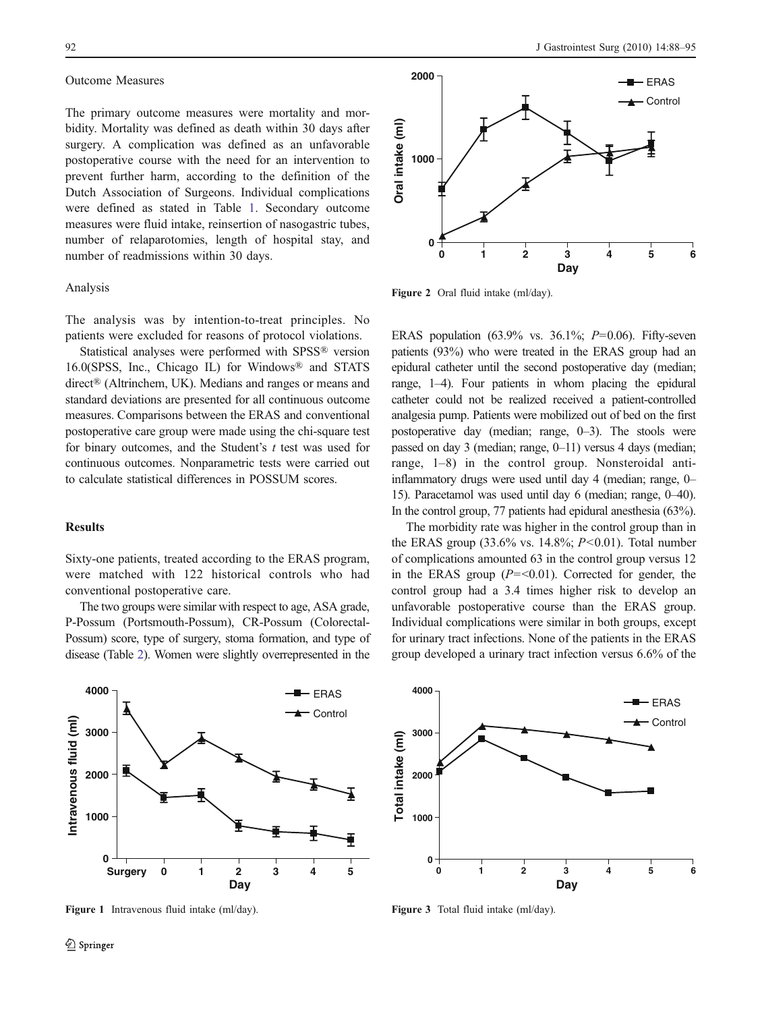#### <span id="page-4-0"></span>Outcome Measures

The primary outcome measures were mortality and morbidity. Mortality was defined as death within 30 days after surgery. A complication was defined as an unfavorable postoperative course with the need for an intervention to prevent further harm, according to the definition of the Dutch Association of Surgeons. Individual complications were defined as stated in Table [1](#page-2-0). Secondary outcome measures were fluid intake, reinsertion of nasogastric tubes, number of relaparotomies, length of hospital stay, and number of readmissions within 30 days.

### Analysis

The analysis was by intention-to-treat principles. No patients were excluded for reasons of protocol violations.

Statistical analyses were performed with SPSS® version 16.0(SPSS, Inc., Chicago IL) for Windows® and STATS direct® (Altrinchem, UK). Medians and ranges or means and standard deviations are presented for all continuous outcome measures. Comparisons between the ERAS and conventional postoperative care group were made using the chi-square test for binary outcomes, and the Student's  $t$  test was used for continuous outcomes. Nonparametric tests were carried out to calculate statistical differences in POSSUM scores.

#### **Results**

Sixty-one patients, treated according to the ERAS program, were matched with 122 historical controls who had conventional postoperative care.

The two groups were similar with respect to age, ASA grade, P-Possum (Portsmouth-Possum), CR-Possum (Colorectal-Possum) score, type of surgery, stoma formation, and type of disease (Table [2](#page-3-0)). Women were slightly overrepresented in the



Figure 1 Intravenous fluid intake (ml/day).



Figure 2 Oral fluid intake (ml/day).

ERAS population  $(63.9\%$  vs.  $36.1\%$ ;  $P=0.06$ ). Fifty-seven patients (93%) who were treated in the ERAS group had an epidural catheter until the second postoperative day (median; range, 1–4). Four patients in whom placing the epidural catheter could not be realized received a patient-controlled analgesia pump. Patients were mobilized out of bed on the first postoperative day (median; range, 0–3). The stools were passed on day 3 (median; range, 0–11) versus 4 days (median; range, 1–8) in the control group. Nonsteroidal antiinflammatory drugs were used until day 4 (median; range, 0– 15). Paracetamol was used until day 6 (median; range, 0–40). In the control group, 77 patients had epidural anesthesia (63%).

The morbidity rate was higher in the control group than in the ERAS group  $(33.6\% \text{ vs. } 14.8\%; P<0.01)$ . Total number of complications amounted 63 in the control group versus 12 in the ERAS group  $(P = < 0.01)$ . Corrected for gender, the control group had a 3.4 times higher risk to develop an unfavorable postoperative course than the ERAS group. Individual complications were similar in both groups, except for urinary tract infections. None of the patients in the ERAS group developed a urinary tract infection versus 6.6% of the



Figure 3 Total fluid intake (ml/day).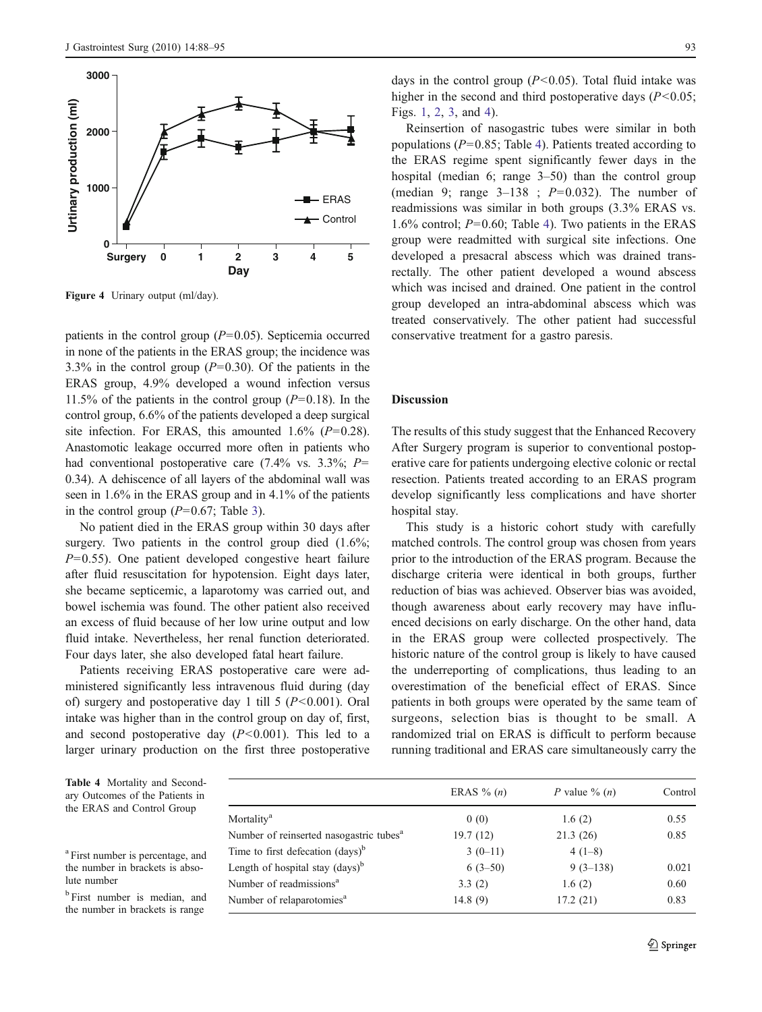

Figure 4 Urinary output (ml/day).

patients in the control group  $(P=0.05)$ . Septicemia occurred in none of the patients in the ERAS group; the incidence was 3.3% in the control group  $(P=0.30)$ . Of the patients in the ERAS group, 4.9% developed a wound infection versus 11.5% of the patients in the control group  $(P=0.18)$ . In the control group, 6.6% of the patients developed a deep surgical site infection. For ERAS, this amounted  $1.6\%$  ( $P=0.28$ ). Anastomotic leakage occurred more often in patients who had conventional postoperative care  $(7.4\% \text{ vs. } 3.3\%; P=$ 0.34). A dehiscence of all layers of the abdominal wall was seen in 1.6% in the ERAS group and in 4.1% of the patients in the control group  $(P=0.67;$  Table [3\)](#page-3-0).

No patient died in the ERAS group within 30 days after surgery. Two patients in the control group died  $(1.6\%;$  $P=0.55$ ). One patient developed congestive heart failure after fluid resuscitation for hypotension. Eight days later, she became septicemic, a laparotomy was carried out, and bowel ischemia was found. The other patient also received an excess of fluid because of her low urine output and low fluid intake. Nevertheless, her renal function deteriorated. Four days later, she also developed fatal heart failure.

Patients receiving ERAS postoperative care were administered significantly less intravenous fluid during (day of) surgery and postoperative day 1 till  $5 (P<0.001)$ . Oral intake was higher than in the control group on day of, first, and second postoperative day  $(P<0.001)$ . This led to a larger urinary production on the first three postoperative

days in the control group  $(P<0.05)$ . Total fluid intake was higher in the second and third postoperative days  $(P<0.05)$ ; Figs. [1,](#page-4-0) [2,](#page-4-0) [3,](#page-4-0) and 4).

Reinsertion of nasogastric tubes were similar in both populations ( $P=0.85$ ; Table 4). Patients treated according to the ERAS regime spent significantly fewer days in the hospital (median 6; range 3–50) than the control group (median 9; range  $3-138$ ;  $P=0.032$ ). The number of readmissions was similar in both groups (3.3% ERAS vs. 1.6% control;  $P=0.60$ ; Table 4). Two patients in the ERAS group were readmitted with surgical site infections. One developed a presacral abscess which was drained transrectally. The other patient developed a wound abscess which was incised and drained. One patient in the control group developed an intra-abdominal abscess which was treated conservatively. The other patient had successful conservative treatment for a gastro paresis.

# **Discussion**

The results of this study suggest that the Enhanced Recovery After Surgery program is superior to conventional postoperative care for patients undergoing elective colonic or rectal resection. Patients treated according to an ERAS program develop significantly less complications and have shorter hospital stay.

This study is a historic cohort study with carefully matched controls. The control group was chosen from years prior to the introduction of the ERAS program. Because the discharge criteria were identical in both groups, further reduction of bias was achieved. Observer bias was avoided, though awareness about early recovery may have influenced decisions on early discharge. On the other hand, data in the ERAS group were collected prospectively. The historic nature of the control group is likely to have caused the underreporting of complications, thus leading to an overestimation of the beneficial effect of ERAS. Since patients in both groups were operated by the same team of surgeons, selection bias is thought to be small. A randomized trial on ERAS is difficult to perform because running traditional and ERAS care simultaneously carry the

Table 4 Mortality and Secondary Outcomes of the Patients in the ERAS and Control Group

<sup>a</sup> First number is percentage, and the number in brackets is absolute number

<sup>b</sup> First number is median, and the number in brackets is range

|                                                     | ERAS $\%$ ( <i>n</i> ) | P value $\%$ $(n)$ | Control |
|-----------------------------------------------------|------------------------|--------------------|---------|
| Mortality <sup>a</sup>                              | 0(0)                   | 1.6(2)             | 0.55    |
| Number of reinserted nasogastric tubes <sup>a</sup> | 19.7(12)               | 21.3(26)           | 0.85    |
| Time to first defecation $\text{(days)}^b$          | $3(0-11)$              | $4(1-8)$           |         |
| Length of hospital stay (days) <sup>b</sup>         | $6(3-50)$              | $9(3-138)$         | 0.021   |
| Number of readmissions <sup>a</sup>                 | 3.3(2)                 | 1.6(2)             | 0.60    |
| Number of relaparotomies <sup>a</sup>               | 14.8(9)                | 17.2(21)           | 0.83    |
|                                                     |                        |                    |         |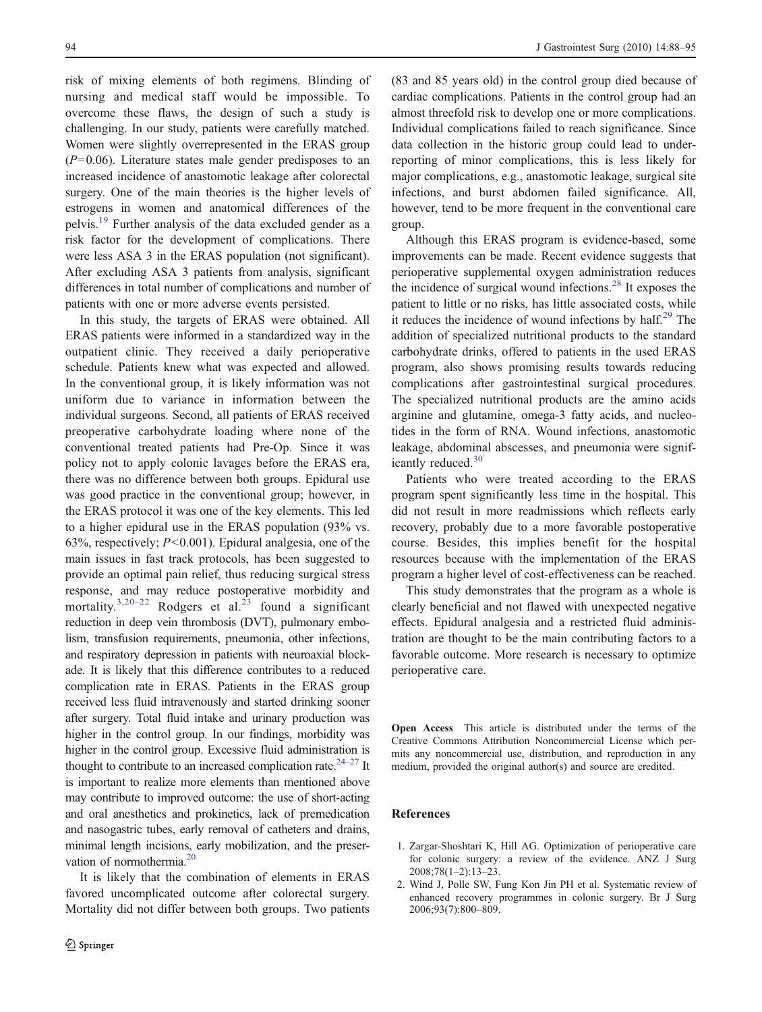<span id="page-6-0"></span>risk of mixing elements of both regimens. Blinding of nursing and medical staff would be impossible. To overcome these flaws, the design of such a study is challenging. In our study, patients were carefully matched. Women were slightly overrepresented in the ERAS group  $(P=0.06)$ . Literature states male gender predisposes to an increased incidence of anastomotic leakage after colorectal surgery. One of the main theories is the higher levels of estrogens in women and anatomical differences of the pelvis.[19](#page-7-0) Further analysis of the data excluded gender as a risk factor for the development of complications. There were less ASA 3 in the ERAS population (not significant). After excluding ASA 3 patients from analysis, significant differences in total number of complications and number of patients with one or more adverse events persisted.

In this study, the targets of ERAS were obtained. All ERAS patients were informed in a standardized way in the outpatient clinic. They received a daily perioperative schedule. Patients knew what was expected and allowed. In the conventional group, it is likely information was not uniform due to variance in information between the individual surgeons. Second, all patients of ERAS received preoperative carbohydrate loading where none of the conventional treated patients had Pre-Op. Since it was policy not to apply colonic lavages before the ERAS era, there was no difference between both groups. Epidural use was good practice in the conventional group; however, in the ERAS protocol it was one of the key elements. This led to a higher epidural use in the ERAS population (93% vs. 63%, respectively;  $P<0.001$ ). Epidural analgesia, one of the main issues in fast track protocols, has been suggested to provide an optimal pain relief, thus reducing surgical stress response, and may reduce postoperative morbidity and mortality.<sup>[3,20](#page-7-0)[–](#page-7-0)[22](#page-7-0)</sup> Rodgers et al.<sup>[23](#page-7-0)</sup> found a significant reduction in deep vein thrombosis (DVT), pulmonary embolism, transfusion requirements, pneumonia, other infections, and respiratory depression in patients with neuroaxial blockade. It is likely that this difference contributes to a reduced complication rate in ERAS. Patients in the ERAS group received less fluid intravenously and started drinking sooner after surgery. Total fluid intake and urinary production was higher in the control group. In our findings, morbidity was higher in the control group. Excessive fluid administration is thought to contribute to an increased complication rate.<sup>24[–](#page-7-0)[27](#page-7-0)</sup> It is important to realize more elements than mentioned above may contribute to improved outcome: the use of short-acting and oral anesthetics and prokinetics, lack of premedication and nasogastric tubes, early removal of catheters and drains, minimal length incisions, early mobilization, and the preser-vation of normothermia.<sup>[20](#page-7-0)</sup>

It is likely that the combination of elements in ERAS favored uncomplicated outcome after colorectal surgery. Mortality did not differ between both groups. Two patients

(83 and 85 years old) in the control group died because of cardiac complications. Patients in the control group had an almost threefold risk to develop one or more complications. Individual complications failed to reach significance. Since data collection in the historic group could lead to underreporting of minor complications, this is less likely for major complications, e.g., anastomotic leakage, surgical site infections, and burst abdomen failed significance. All, however, tend to be more frequent in the conventional care group.

Although this ERAS program is evidence-based, some improvements can be made. Recent evidence suggests that perioperative supplemental oxygen administration reduces the incidence of surgical wound infections.<sup>[28](#page-7-0)</sup> It exposes the patient to little or no risks, has little associated costs, while it reduces the incidence of wound infections by  $\text{half.}^{29}$  $\text{half.}^{29}$  $\text{half.}^{29}$  The addition of specialized nutritional products to the standard carbohydrate drinks, offered to patients in the used ERAS program, also shows promising results towards reducing complications after gastrointestinal surgical procedures. The specialized nutritional products are the amino acids arginine and glutamine, omega-3 fatty acids, and nucleotides in the form of RNA. Wound infections, anastomotic leakage, abdominal abscesses, and pneumonia were signif-icantly reduced.<sup>[30](#page-7-0)</sup>

Patients who were treated according to the ERAS program spent significantly less time in the hospital. This did not result in more readmissions which reflects early recovery, probably due to a more favorable postoperative course. Besides, this implies benefit for the hospital resources because with the implementation of the ERAS program a higher level of cost-effectiveness can be reached.

This study demonstrates that the program as a whole is clearly beneficial and not flawed with unexpected negative effects. Epidural analgesia and a restricted fluid administration are thought to be the main contributing factors to a favorable outcome. More research is necessary to optimize perioperative care.

Open Access This article is distributed under the terms of the Creative Commons Attribution Noncommercial License which permits any noncommercial use, distribution, and reproduction in any medium, provided the original author(s) and source are credited.

#### References

- 1. Zargar-Shoshtari K, Hill AG. Optimization of perioperative care for colonic surgery: a review of the evidence. ANZ J Surg 2008;78(1–2):13–23.
- 2. Wind J, Polle SW, Fung Kon Jin PH et al. Systematic review of enhanced recovery programmes in colonic surgery. Br J Surg 2006;93(7):800–809.